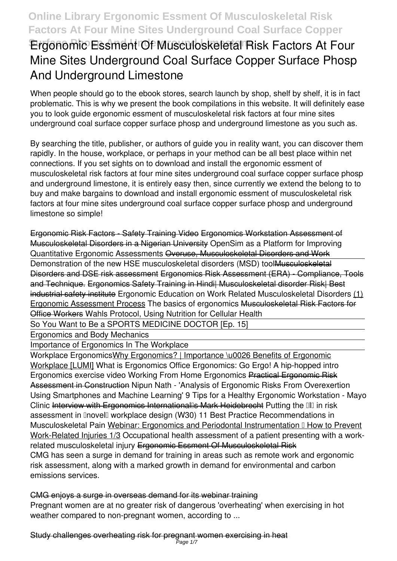# **Ergonomic Essment Of Musculoskeletal Risk Factors At Four Mine Sites Underground Coal Surface Copper Surface Phosp And Underground Limestone**

When people should go to the ebook stores, search launch by shop, shelf by shelf, it is in fact problematic. This is why we present the book compilations in this website. It will definitely ease you to look guide **ergonomic essment of musculoskeletal risk factors at four mine sites underground coal surface copper surface phosp and underground limestone** as you such as.

By searching the title, publisher, or authors of guide you in reality want, you can discover them rapidly. In the house, workplace, or perhaps in your method can be all best place within net connections. If you set sights on to download and install the ergonomic essment of musculoskeletal risk factors at four mine sites underground coal surface copper surface phosp and underground limestone, it is entirely easy then, since currently we extend the belong to to buy and make bargains to download and install ergonomic essment of musculoskeletal risk factors at four mine sites underground coal surface copper surface phosp and underground limestone so simple!

Ergonomic Risk Factors - Safety Training Video Ergonomics Workstation Assessment of Musculoskeletal Disorders in a Nigerian University *OpenSim as a Platform for Improving Quantitative Ergonomic Assessments* Overuse, Musculoskeletal Disorders and Work Demonstration of the new HSE musculoskeletal disorders (MSD) toollausculoskeletal Disorders and DSE risk assessment Ergonomics Risk Assessment (ERA) - Compliance, Tools and Technique. Ergonomics Safety Training in Hindi| Musculoskeletal disorder Risk| Best industrial safety institute *Ergonomic Education on Work Related Musculoskeletal Disorders* (1) Ergonomic Assessment Process The basics of ergonomics Musculoskeletal Risk Factors for **Office Workers Wahls Protocol, Using Nutrition for Cellular Health** 

So You Want to Be a SPORTS MEDICINE DOCTOR [Ep. 15]

Ergonomics and Body Mechanics

Importance of Ergonomics In The Workplace

Workplace ErgonomicsWhy Ergonomics? | Importance \u0026 Benefits of Ergonomic Workplace [LUMI] *What is Ergonomics* **Office Ergonomics: Go Ergo! A hip-hopped intro** Ergonomics exercise video **Working From Home Ergonomics** Practical Ergonomic Risk Assessment in Construction *Nipun Nath - 'Analysis of Ergonomic Risks From Overexertion Using Smartphones and Machine Learning'* 9 Tips for a Healthy Ergonomic Workstation - Mayo Clinic Interview with Ergonomics International's Mark Heidebrecht *Putting the 'I' in risk assessment in 'novel' workplace design (W30) 11 Best Practice Recommendations in Musculoskeletal Pain Webinar: Ergonomics and Periodontal Instrumentation* II How to Prevent Work-Related Injuries 1/3 **Occupational health assessment of a patient presenting with a workrelated musculoskeletal injury** Ergonomic Essment Of Musculoskeletal Risk CMG has seen a surge in demand for training in areas such as remote work and ergonomic risk assessment, along with a marked growth in demand for environmental and carbon emissions services.

### CMG enjoys a surge in overseas demand for its webinar training

Pregnant women are at no greater risk of dangerous 'overheating' when exercising in hot weather compared to non-pregnant women, according to ...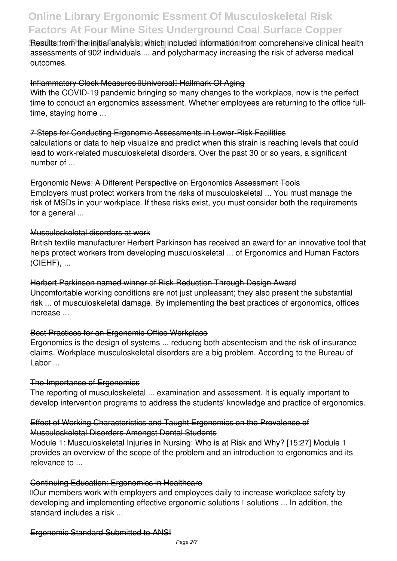**Results from the initial analysis, which included information from comprehensive clinical health** assessments of 902 individuals ... and polypharmacy increasing the risk of adverse medical outcomes.

#### Inflammatory Clock Measures IUniversal Hallmark Of Aging

With the COVID-19 pandemic bringing so many changes to the workplace, now is the perfect time to conduct an ergonomics assessment. Whether employees are returning to the office fulltime, staying home ...

#### 7 Steps for Conducting Ergonomic Assessments in Lower-Risk Facilities

calculations or data to help visualize and predict when this strain is reaching levels that could lead to work-related musculoskeletal disorders. Over the past 30 or so years, a significant number of ...

#### Ergonomic News: A Different Perspective on Ergonomics Assessment Tools

Employers must protect workers from the risks of musculoskeletal ... You must manage the risk of MSDs in your workplace. If these risks exist, you must consider both the requirements for a general ...

#### Musculoskeletal disorders at work

British textile manufacturer Herbert Parkinson has received an award for an innovative tool that helps protect workers from developing musculoskeletal ... of Ergonomics and Human Factors (CIEHF), ...

Herbert Parkinson named winner of Risk Reduction Through Design Award Uncomfortable working conditions are not just unpleasant; they also present the substantial risk ... of musculoskeletal damage. By implementing the best practices of ergonomics, offices increase ...

### Best Practices for an Ergonomic Office Workplace

Ergonomics is the design of systems ... reducing both absenteeism and the risk of insurance claims. Workplace musculoskeletal disorders are a big problem. According to the Bureau of Labor ...

#### The Importance of Ergonomics

The reporting of musculoskeletal ... examination and assessment. It is equally important to develop intervention programs to address the students' knowledge and practice of ergonomics.

#### Effect of Working Characteristics and Taught Ergonomics on the Prevalence of Musculoskeletal Disorders Amongst Dental Students

Module 1: Musculoskeletal Injuries in Nursing: Who is at Risk and Why? [15:27] Module 1 provides an overview of the scope of the problem and an introduction to ergonomics and its relevance to ...

#### Continuing Education: Ergonomics in Healthcare

Dour members work with employers and employees daily to increase workplace safety by developing and implementing effective ergonomic solutions  $\mathbb I$  solutions ... In addition, the standard includes a risk ...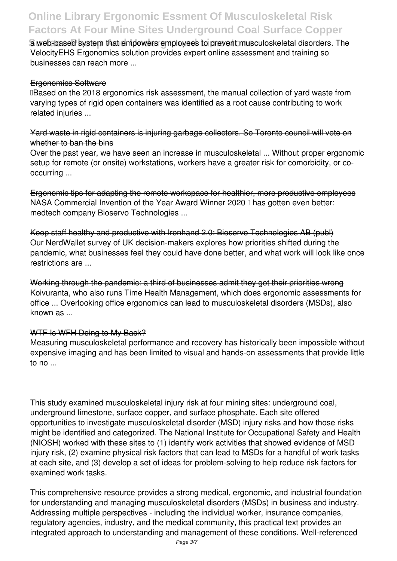a web-based system that empowers employees to prevent musculoskeletal disorders. The VelocityEHS Ergonomics solution provides expert online assessment and training so businesses can reach more ...

#### Ergonomics Software

**IBased on the 2018 ergonomics risk assessment, the manual collection of vard waste from** varying types of rigid open containers was identified as a root cause contributing to work related injuries ...

### Yard waste in rigid containers is injuring garbage collectors. So Toronto council will vote on whether to ban the bins

Over the past year, we have seen an increase in musculoskeletal ... Without proper ergonomic setup for remote (or onsite) workstations, workers have a greater risk for comorbidity, or cooccurring ...

Ergonomic tips for adapting the remote workspace for healthier, more productive employees NASA Commercial Invention of the Year Award Winner 2020 II has gotten even better: medtech company Bioservo Technologies ...

Keep staff healthy and productive with Ironhand 2.0: Bioservo Technologies AB (publ) Our NerdWallet survey of UK decision-makers explores how priorities shifted during the pandemic, what businesses feel they could have done better, and what work will look like once restrictions are ...

Working through the pandemic: a third of businesses admit they got their priorities wrong Koivuranta, who also runs Time Health Management, which does ergonomic assessments for office ... Overlooking office ergonomics can lead to musculoskeletal disorders (MSDs), also known as ...

### WTF Is WFH Doing to My Back?

Measuring musculoskeletal performance and recovery has historically been impossible without expensive imaging and has been limited to visual and hands-on assessments that provide little to no ...

This study examined musculoskeletal injury risk at four mining sites: underground coal, underground limestone, surface copper, and surface phosphate. Each site offered opportunities to investigate musculoskeletal disorder (MSD) injury risks and how those risks might be identified and categorized. The National Institute for Occupational Safety and Health (NIOSH) worked with these sites to (1) identify work activities that showed evidence of MSD injury risk, (2) examine physical risk factors that can lead to MSDs for a handful of work tasks at each site, and (3) develop a set of ideas for problem-solving to help reduce risk factors for examined work tasks.

This comprehensive resource provides a strong medical, ergonomic, and industrial foundation for understanding and managing musculoskeletal disorders (MSDs) in business and industry. Addressing multiple perspectives - including the individual worker, insurance companies, regulatory agencies, industry, and the medical community, this practical text provides an integrated approach to understanding and management of these conditions. Well-referenced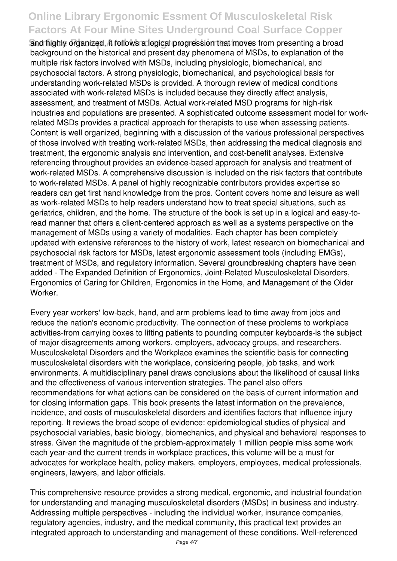and highly organized, it follows a logical progression that moves from presenting a broad background on the historical and present day phenomena of MSDs, to explanation of the multiple risk factors involved with MSDs, including physiologic, biomechanical, and psychosocial factors. A strong physiologic, biomechanical, and psychological basis for understanding work-related MSDs is provided. A thorough review of medical conditions associated with work-related MSDs is included because they directly affect analysis, assessment, and treatment of MSDs. Actual work-related MSD programs for high-risk industries and populations are presented. A sophisticated outcome assessment model for workrelated MSDs provides a practical approach for therapists to use when assessing patients. Content is well organized, beginning with a discussion of the various professional perspectives of those involved with treating work-related MSDs, then addressing the medical diagnosis and treatment, the ergonomic analysis and intervention, and cost-benefit analyses. Extensive referencing throughout provides an evidence-based approach for analysis and treatment of work-related MSDs. A comprehensive discussion is included on the risk factors that contribute to work-related MSDs. A panel of highly recognizable contributors provides expertise so readers can get first hand knowledge from the pros. Content covers home and leisure as well as work-related MSDs to help readers understand how to treat special situations, such as geriatrics, children, and the home. The structure of the book is set up in a logical and easy-toread manner that offers a client-centered approach as well as a systems perspective on the management of MSDs using a variety of modalities. Each chapter has been completely updated with extensive references to the history of work, latest research on biomechanical and psychosocial risk factors for MSDs, latest ergonomic assessment tools (including EMGs), treatment of MSDs, and regulatory information. Several groundbreaking chapters have been added - The Expanded Definition of Ergonomics, Joint-Related Musculoskeletal Disorders, Ergonomics of Caring for Children, Ergonomics in the Home, and Management of the Older Worker.

Every year workers' low-back, hand, and arm problems lead to time away from jobs and reduce the nation's economic productivity. The connection of these problems to workplace activities-from carrying boxes to lifting patients to pounding computer keyboards-is the subject of major disagreements among workers, employers, advocacy groups, and researchers. Musculoskeletal Disorders and the Workplace examines the scientific basis for connecting musculoskeletal disorders with the workplace, considering people, job tasks, and work environments. A multidisciplinary panel draws conclusions about the likelihood of causal links and the effectiveness of various intervention strategies. The panel also offers recommendations for what actions can be considered on the basis of current information and for closing information gaps. This book presents the latest information on the prevalence, incidence, and costs of musculoskeletal disorders and identifies factors that influence injury reporting. It reviews the broad scope of evidence: epidemiological studies of physical and psychosocial variables, basic biology, biomechanics, and physical and behavioral responses to stress. Given the magnitude of the problem-approximately 1 million people miss some work each year-and the current trends in workplace practices, this volume will be a must for advocates for workplace health, policy makers, employers, employees, medical professionals, engineers, lawyers, and labor officials.

This comprehensive resource provides a strong medical, ergonomic, and industrial foundation for understanding and managing musculoskeletal disorders (MSDs) in business and industry. Addressing multiple perspectives - including the individual worker, insurance companies, regulatory agencies, industry, and the medical community, this practical text provides an integrated approach to understanding and management of these conditions. Well-referenced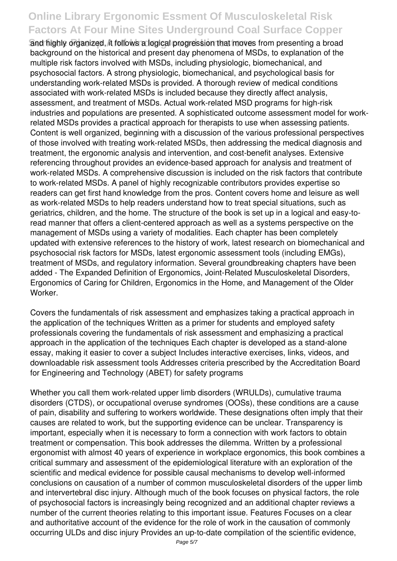and highly organized, it follows a logical progression that moves from presenting a broad background on the historical and present day phenomena of MSDs, to explanation of the multiple risk factors involved with MSDs, including physiologic, biomechanical, and psychosocial factors. A strong physiologic, biomechanical, and psychological basis for understanding work-related MSDs is provided. A thorough review of medical conditions associated with work-related MSDs is included because they directly affect analysis, assessment, and treatment of MSDs. Actual work-related MSD programs for high-risk industries and populations are presented. A sophisticated outcome assessment model for workrelated MSDs provides a practical approach for therapists to use when assessing patients. Content is well organized, beginning with a discussion of the various professional perspectives of those involved with treating work-related MSDs, then addressing the medical diagnosis and treatment, the ergonomic analysis and intervention, and cost-benefit analyses. Extensive referencing throughout provides an evidence-based approach for analysis and treatment of work-related MSDs. A comprehensive discussion is included on the risk factors that contribute to work-related MSDs. A panel of highly recognizable contributors provides expertise so readers can get first hand knowledge from the pros. Content covers home and leisure as well as work-related MSDs to help readers understand how to treat special situations, such as geriatrics, children, and the home. The structure of the book is set up in a logical and easy-toread manner that offers a client-centered approach as well as a systems perspective on the management of MSDs using a variety of modalities. Each chapter has been completely updated with extensive references to the history of work, latest research on biomechanical and psychosocial risk factors for MSDs, latest ergonomic assessment tools (including EMGs), treatment of MSDs, and regulatory information. Several groundbreaking chapters have been added - The Expanded Definition of Ergonomics, Joint-Related Musculoskeletal Disorders, Ergonomics of Caring for Children, Ergonomics in the Home, and Management of the Older Worker.

Covers the fundamentals of risk assessment and emphasizes taking a practical approach in the application of the techniques Written as a primer for students and employed safety professionals covering the fundamentals of risk assessment and emphasizing a practical approach in the application of the techniques Each chapter is developed as a stand-alone essay, making it easier to cover a subject Includes interactive exercises, links, videos, and downloadable risk assessment tools Addresses criteria prescribed by the Accreditation Board for Engineering and Technology (ABET) for safety programs

Whether you call them work-related upper limb disorders (WRULDs), cumulative trauma disorders (CTDS), or occupational overuse syndromes (OOSs), these conditions are a cause of pain, disability and suffering to workers worldwide. These designations often imply that their causes are related to work, but the supporting evidence can be unclear. Transparency is important, especially when it is necessary to form a connection with work factors to obtain treatment or compensation. This book addresses the dilemma. Written by a professional ergonomist with almost 40 years of experience in workplace ergonomics, this book combines a critical summary and assessment of the epidemiological literature with an exploration of the scientific and medical evidence for possible causal mechanisms to develop well-informed conclusions on causation of a number of common musculoskeletal disorders of the upper limb and intervertebral disc injury. Although much of the book focuses on physical factors, the role of psychosocial factors is increasingly being recognized and an additional chapter reviews a number of the current theories relating to this important issue. Features Focuses on a clear and authoritative account of the evidence for the role of work in the causation of commonly occurring ULDs and disc injury Provides an up-to-date compilation of the scientific evidence,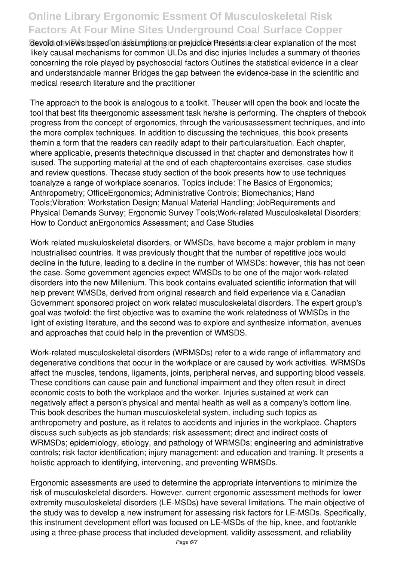**Gevoid of views based on assumptions or prejudice Presents a clear explanation of the most** likely causal mechanisms for common ULDs and disc injuries Includes a summary of theories concerning the role played by psychosocial factors Outlines the statistical evidence in a clear and understandable manner Bridges the gap between the evidence-base in the scientific and medical research literature and the practitioner

The approach to the book is analogous to a toolkit. Theuser will open the book and locate the tool that best fits theergonomic assessment task he/she is performing. The chapters of thebook progress from the concept of ergonomics, through the variousassessment techniques, and into the more complex techniques. In addition to discussing the techniques, this book presents themin a form that the readers can readily adapt to their particularsituation. Each chapter, where applicable, presents thetechnique discussed in that chapter and demonstrates how it isused. The supporting material at the end of each chaptercontains exercises, case studies and review questions. Thecase study section of the book presents how to use techniques toanalyze a range of workplace scenarios. Topics include: The Basics of Ergonomics; Anthropometry; OfficeErgonomics; Administrative Controls; Biomechanics; Hand Tools;Vibration; Workstation Design; Manual Material Handling; JobRequirements and Physical Demands Survey; Ergonomic Survey Tools;Work-related Musculoskeletal Disorders; How to Conduct anErgonomics Assessment; and Case Studies

Work related muskuloskeletal disorders, or WMSDs, have become a major problem in many industrialised countries. It was previously thought that the number of repetitive jobs would decline in the future, leading to a decline in the number of WMSDs: however, this has not been the case. Some government agencies expect WMSDs to be one of the major work-related disorders into the new Millenium. This book contains evaluated scientific information that will help prevent WMSDs, derived from original research and field experience via a Canadian Government sponsored project on work related musculoskeletal disorders. The expert group's goal was twofold: the first objective was to examine the work relatedness of WMSDs in the light of existing literature, and the second was to explore and synthesize information, avenues and approaches that could help in the prevention of WMSDS.

Work-related musculoskeletal disorders (WRMSDs) refer to a wide range of inflammatory and degenerative conditions that occur in the workplace or are caused by work activities. WRMSDs affect the muscles, tendons, ligaments, joints, peripheral nerves, and supporting blood vessels. These conditions can cause pain and functional impairment and they often result in direct economic costs to both the workplace and the worker. Injuries sustained at work can negatively affect a person's physical and mental health as well as a company's bottom line. This book describes the human musculoskeletal system, including such topics as anthropometry and posture, as it relates to accidents and injuries in the workplace. Chapters discuss such subjects as job standards; risk assessment; direct and indirect costs of WRMSDs; epidemiology, etiology, and pathology of WRMSDs; engineering and administrative controls; risk factor identification; injury management; and education and training. It presents a holistic approach to identifying, intervening, and preventing WRMSDs.

Ergonomic assessments are used to determine the appropriate interventions to minimize the risk of musculoskeletal disorders. However, current ergonomic assessment methods for lower extremity musculoskeletal disorders (LE-MSDs) have several limitations. The main objective of the study was to develop a new instrument for assessing risk factors for LE-MSDs. Specifically, this instrument development effort was focused on LE-MSDs of the hip, knee, and foot/ankle using a three-phase process that included development, validity assessment, and reliability